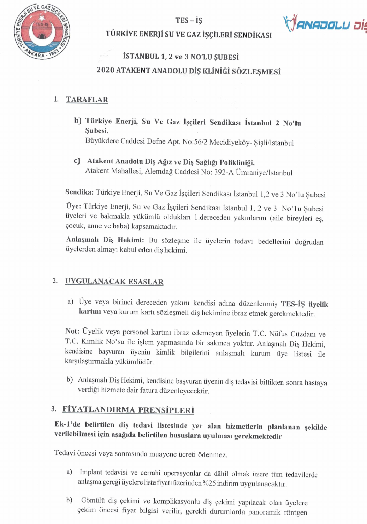





## TÛRKİYE ENERJİ SU VE GAZ İŞÇİLERİ SENDİKASI

## **İSTANBUL 1, 2 ve 3 NO'LU SUBESİ**

## 2020 ATAKENT ANADOLU DİŞ KLİNİĞİ SÖZLESMESİ

#### 1. **TARAFLAR**

b) Türkiye Enerji, Su Ve Gaz İşçileri Sendikası İstanbul 2 No'lu Subesi.

Büyükdere Caddesi Defne Apt. No:56/2 Mecidiyeköy- Şişli/İstanbul

c) Atakent Anadolu Diş Ağız ve Diş Sağlığı Polikliniği. Atakent Mahallesi, Alemdağ Caddesi No: 392-A Ümraniye/İstanbul

Sendika: Türkiye Enerji, Su Ve Gaz İşçileri Sendikası İstanbul 1,2 ve 3 No'lu Şubesi

Üye: Türkiye Enerji, Su ve Gaz İşçileri Sendikası İstanbul 1, 2 ve 3 No'lu Şubesi üyeleri ve bakmakla yükümlü oldukları 1.dereceden yakınlarını (aile bireyleri eş, çocuk, anne ve baba) kapsamaktadır.

Anlaşmalı Diş Hekimi: Bu sözleşme ile üyelerin tedavi bedellerini doğrudan üyelerden almayı kabul eden diş hekimi.

#### $2.$ **UYGULANACAK ESASLAR**

a) Üye veya birinci dereceden yakını kendisi adına düzenlenmiş TES-İŞ üyelik kartını veya kurum kartı sözleşmeli diş hekimine ibraz etmek gerekmektedir.

Not: Üyelik veya personel kartını ibraz edemeyen üyelerin T.C. Nüfus Cüzdanı ve T.C. Kimlik No'su ile işlem yapmasında bir sakınca yoktur. Anlaşmalı Diş Hekimi, kendisine başvuran üyenin kimlik bilgilerini anlaşmalı kurum üye listesi ile karşılaştırmakla yükümlüdür.

b) Anlaşmalı Diş Hekimi, kendisine başvuran üyenin diş tedavisi bittikten sonra hastaya verdiği hizmete dair fatura düzenleyecektir.

### 3. FIYATLANDIRMA PRENSİPLERİ

Ek-1'de belirtilen diş tedavi listesinde yer alan hizmetlerin planlanan şekilde verilebilmesi için aşağıda belirtilen hususlara uyulması gerekmektedir

Tedavi öncesi veya sonrasında muayene ücreti ödenmez.

- İmplant tedavisi ve cerrahi operasyonlar da dâhil olmak üzere tüm tedavilerde a) anlaşma gereği üyelere liste fiyatı üzerinden %25 indirim uygulanacaktır.
- Gömülü diş çekimi ve komplikasyonlu diş çekimi yapılacak olan üyelere b) çekim öncesi fiyat bilgisi verilir, gerekli durumlarda panoramik röntgen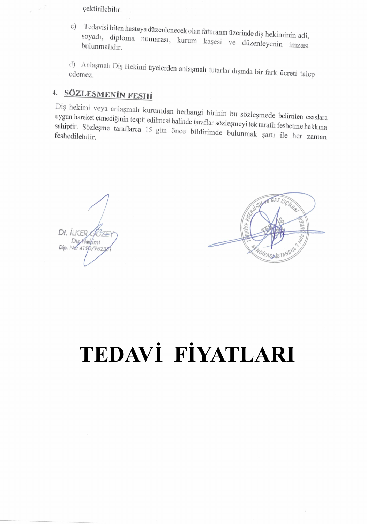çektirilebilir.

Tedavisi biten hastaya düzenlenecek olan faturanın üzerinde diş hekiminin adi,  $\mathcal{C}$ ) soyadı, diploma numarası, kurum kaşesi ve düzenleyenin imzası bulunmalıdır.

d) Anlaşmalı Diş Hekimi üyelerden anlaşmalı tutarlar dışında bir fark ücreti talep

## 4. SÖZLESMENIN FESHİ

Diş hekimi veya anlaşmalı kurumdan herhangi birinin bu sözleşmede belirtilen esaslara uygun hareket etmediğinin tespit edilmesi halinde taraflar sözleşmeyi tek taraflı feshetme hakkına sahiptir. Sözleşme taraflarca 15 gün önce bildirimde bulunmak şartı ile her zaman

Dt. ILKER @himi Dip. No: 4190/962



# TEDAVİ FİYATLARI